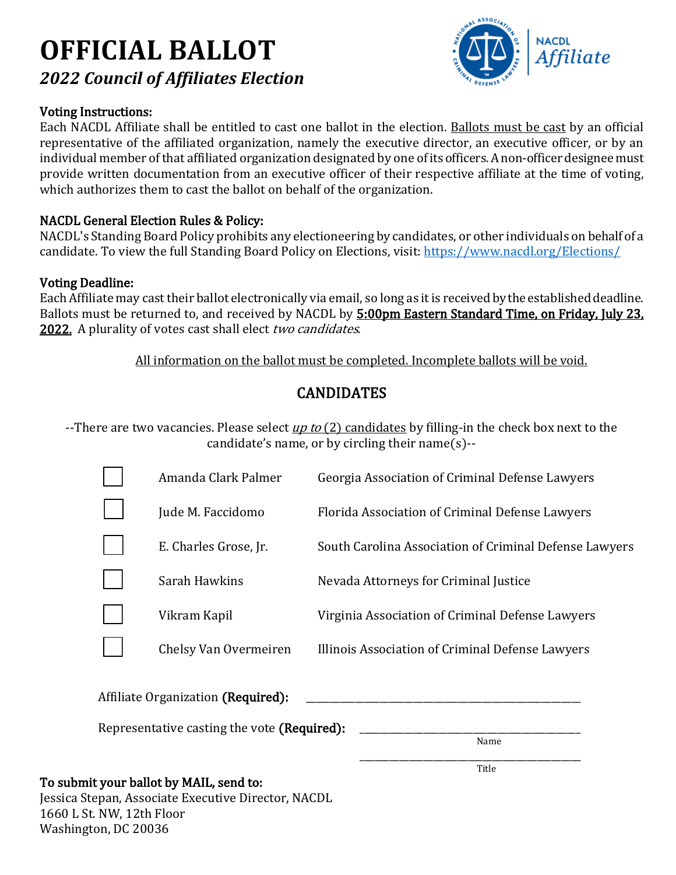# **OFFICIAL BALLOT** *2022 Council of Affiliates Election*

#### Voting Instructions:

**NACDL** 

Each NACDL Affiliate shall be entitled to cast one ballot in the election. Ballots must be cast by an official representative of the affiliated organization, namely the executive director, an executive officer, or by an individual member of that affiliated organization designated by one of its officers. A non-officer designee must provide written documentation from an executive officer of their respective affiliate at the time of voting, which authorizes them to cast the ballot on behalf of the organization.

#### NACDL General Election Rules & Policy:

NACDL's Standing Board Policy prohibits any electioneering by candidates, or other individuals on behalf of a candidate. To view the full Standing Board Policy on Elections, visit:<https://www.nacdl.org/Elections/>

#### Voting Deadline:

Each Affiliate may cast their ballot electronically via email, so long as it is received by the established deadline. Ballots must be returned to, and received by NACDL by 5:00pm Eastern Standard Time, on Friday, July 23, 2022. A plurality of votes cast shall elect two candidates.

All information on the ballot must be completed. Incomplete ballots will be void.

# CANDIDATES

--There are two vacancies. Please select <u>up to (2) candidates</u> by filling-in the check box next to the  $\,$ candidate's name, or by circling their name(s)--

| Amanda Clark Palmer   | Georgia Association of Criminal Defense Lawyers        |
|-----------------------|--------------------------------------------------------|
| Jude M. Faccidomo     | Florida Association of Criminal Defense Lawyers        |
| E. Charles Grose, Jr. | South Carolina Association of Criminal Defense Lawyers |
| Sarah Hawkins         | Nevada Attorneys for Criminal Justice                  |
| Vikram Kapil          | Virginia Association of Criminal Defense Lawyers       |
| Chelsy Van Overmeiren | Illinois Association of Criminal Defense Lawyers       |
|                       |                                                        |

Representative casting the vote (Required):

Name

# \_\_\_\_\_\_\_\_\_\_\_\_\_\_\_\_\_\_\_\_\_\_\_\_\_\_\_\_\_\_\_\_\_\_\_\_\_\_\_\_\_\_\_\_\_ Title To submit your ballot by MAIL, send to:

Jessica Stepan, Associate Executive Director, NACDL 1660 L St. NW, 12th Floor Washington, DC 20036

Affiliate Organization (Required):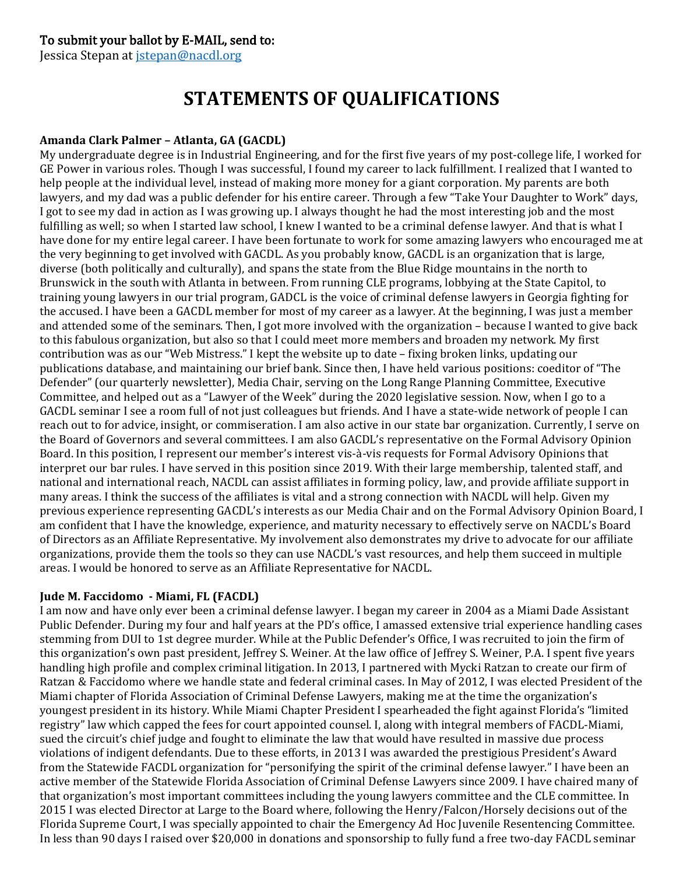#### To submit your ballot by E-MAIL, send to:

Jessica Stepan at [jstepan@nacdl.org](mailto:jstepan@nacdl.org)

# **STATEMENTS OF QUALIFICATIONS**

#### **Amanda Clark Palmer – Atlanta, GA (GACDL)**

My undergraduate degree is in Industrial Engineering, and for the first five years of my post-college life, I worked for GE Power in various roles. Though I was successful, I found my career to lack fulfillment. I realized that I wanted to help people at the individual level, instead of making more money for a giant corporation. My parents are both lawyers, and my dad was a public defender for his entire career. Through a few "Take Your Daughter to Work" days, I got to see my dad in action as I was growing up. I always thought he had the most interesting job and the most fulfilling as well; so when I started law school, I knew I wanted to be a criminal defense lawyer. And that is what I have done for my entire legal career. I have been fortunate to work for some amazing lawyers who encouraged me at the very beginning to get involved with GACDL. As you probably know, GACDL is an organization that is large, diverse (both politically and culturally), and spans the state from the Blue Ridge mountains in the north to Brunswick in the south with Atlanta in between. From running CLE programs, lobbying at the State Capitol, to training young lawyers in our trial program, GADCL is the voice of criminal defense lawyers in Georgia fighting for the accused. I have been a GACDL member for most of my career as a lawyer. At the beginning, I was just a member and attended some of the seminars. Then, I got more involved with the organization – because I wanted to give back to this fabulous organization, but also so that I could meet more members and broaden my network. My first contribution was as our "Web Mistress." I kept the website up to date – fixing broken links, updating our publications database, and maintaining our brief bank. Since then, I have held various positions: coeditor of "The Defender" (our quarterly newsletter), Media Chair, serving on the Long Range Planning Committee, Executive Committee, and helped out as a "Lawyer of the Week" during the 2020 legislative session. Now, when I go to a GACDL seminar I see a room full of not just colleagues but friends. And I have a state-wide network of people I can reach out to for advice, insight, or commiseration. I am also active in our state bar organization. Currently, I serve on the Board of Governors and several committees. I am also GACDL's representative on the Formal Advisory Opinion Board. In this position, I represent our member's interest vis-à-vis requests for Formal Advisory Opinions that interpret our bar rules. I have served in this position since 2019. With their large membership, talented staff, and national and international reach, NACDL can assist affiliates in forming policy, law, and provide affiliate support in many areas. I think the success of the affiliates is vital and a strong connection with NACDL will help. Given my previous experience representing GACDL's interests as our Media Chair and on the Formal Advisory Opinion Board, I am confident that I have the knowledge, experience, and maturity necessary to effectively serve on NACDL's Board of Directors as an Affiliate Representative. My involvement also demonstrates my drive to advocate for our affiliate organizations, provide them the tools so they can use NACDL's vast resources, and help them succeed in multiple areas. I would be honored to serve as an Affiliate Representative for NACDL.

#### **Jude M. Faccidomo - Miami, FL (FACDL)**

I am now and have only ever been a criminal defense lawyer. I began my career in 2004 as a Miami Dade Assistant Public Defender. During my four and half years at the PD's office, I amassed extensive trial experience handling cases stemming from DUI to 1st degree murder. While at the Public Defender's Office, I was recruited to join the firm of this organization's own past president, Jeffrey S. Weiner. At the law office of Jeffrey S. Weiner, P.A. I spent five years handling high profile and complex criminal litigation. In 2013, I partnered with Mycki Ratzan to create our firm of Ratzan & Faccidomo where we handle state and federal criminal cases. In May of 2012, I was elected President of the Miami chapter of Florida Association of Criminal Defense Lawyers, making me at the time the organization's youngest president in its history. While Miami Chapter President I spearheaded the fight against Florida's "limited registry" law which capped the fees for court appointed counsel. I, along with integral members of FACDL-Miami, sued the circuit's chief judge and fought to eliminate the law that would have resulted in massive due process violations of indigent defendants. Due to these efforts, in 2013 I was awarded the prestigious President's Award from the Statewide FACDL organization for "personifying the spirit of the criminal defense lawyer." I have been an active member of the Statewide Florida Association of Criminal Defense Lawyers since 2009. I have chaired many of that organization's most important committees including the young lawyers committee and the CLE committee. In 2015 I was elected Director at Large to the Board where, following the Henry/Falcon/Horsely decisions out of the Florida Supreme Court, I was specially appointed to chair the Emergency Ad Hoc Juvenile Resentencing Committee. In less than 90 days I raised over \$20,000 in donations and sponsorship to fully fund a free two-day FACDL seminar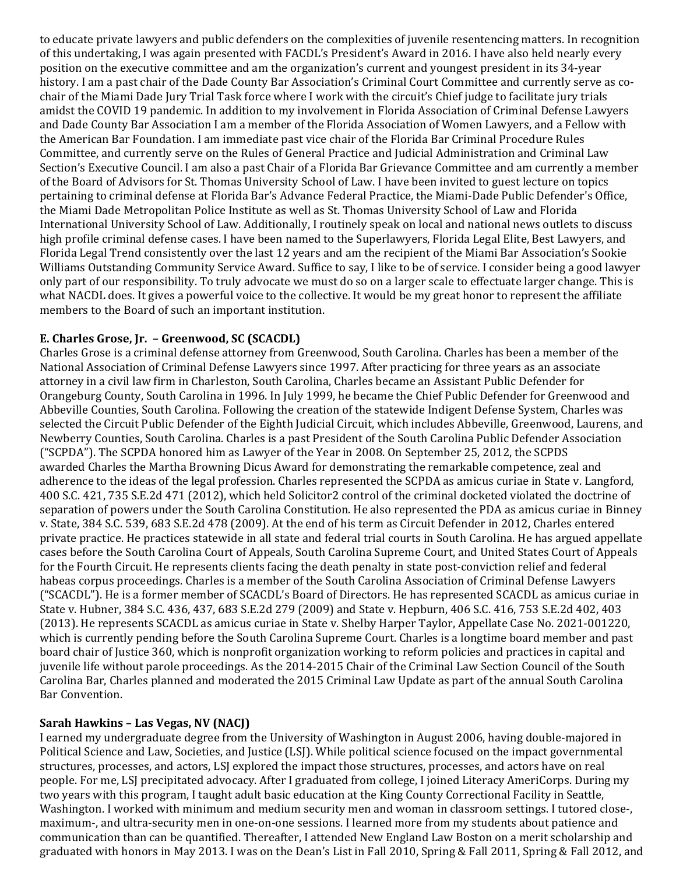to educate private lawyers and public defenders on the complexities of juvenile resentencing matters. In recognition of this undertaking, I was again presented with FACDL's President's Award in 2016. I have also held nearly every position on the executive committee and am the organization's current and youngest president in its 34-year history. I am a past chair of the Dade County Bar Association's Criminal Court Committee and currently serve as cochair of the Miami Dade Jury Trial Task force where I work with the circuit's Chief judge to facilitate jury trials amidst the COVID 19 pandemic. In addition to my involvement in Florida Association of Criminal Defense Lawyers and Dade County Bar Association I am a member of the Florida Association of Women Lawyers, and a Fellow with the American Bar Foundation. I am immediate past vice chair of the Florida Bar Criminal Procedure Rules Committee, and currently serve on the Rules of General Practice and Judicial Administration and Criminal Law Section's Executive Council. I am also a past Chair of a Florida Bar Grievance Committee and am currently a member of the Board of Advisors for St. Thomas University School of Law. I have been invited to guest lecture on topics pertaining to criminal defense at Florida Bar's Advance Federal Practice, the Miami-Dade Public Defender's Office, the Miami Dade Metropolitan Police Institute as well as St. Thomas University School of Law and Florida International University School of Law. Additionally, I routinely speak on local and national news outlets to discuss high profile criminal defense cases. I have been named to the Superlawyers, Florida Legal Elite, Best Lawyers, and Florida Legal Trend consistently over the last 12 years and am the recipient of the Miami Bar Association's Sookie Williams Outstanding Community Service Award. Suffice to say, I like to be of service. I consider being a good lawyer only part of our responsibility. To truly advocate we must do so on a larger scale to effectuate larger change. This is what NACDL does. It gives a powerful voice to the collective. It would be my great honor to represent the affiliate members to the Board of such an important institution.

#### **E. Charles Grose, Jr. – Greenwood, SC (SCACDL)**

Charles Grose is a criminal defense attorney from Greenwood, South Carolina. Charles has been a member of the National Association of Criminal Defense Lawyers since 1997. After practicing for three years as an associate attorney in a civil law firm in Charleston, South Carolina, Charles became an Assistant Public Defender for Orangeburg County, South Carolina in 1996. In July 1999, he became the Chief Public Defender for Greenwood and Abbeville Counties, South Carolina. Following the creation of the statewide Indigent Defense System, Charles was selected the Circuit Public Defender of the Eighth Judicial Circuit, which includes Abbeville, Greenwood, Laurens, and Newberry Counties, South Carolina. Charles is a past President of the South Carolina Public Defender Association ("SCPDA"). The SCPDA honored him as Lawyer of the Year in 2008. On September 25, 2012, the SCPDS awarded Charles the Martha Browning Dicus Award for demonstrating the remarkable competence, zeal and adherence to the ideas of the legal profession. Charles represented the SCPDA as amicus curiae in State v. Langford, 400 S.C. 421, 735 S.E.2d 471 (2012), which held Solicitor2 control of the criminal docketed violated the doctrine of separation of powers under the South Carolina Constitution. He also represented the PDA as amicus curiae in Binney v. State, 384 S.C. 539, 683 S.E.2d 478 (2009). At the end of his term as Circuit Defender in 2012, Charles entered private practice. He practices statewide in all state and federal trial courts in South Carolina. He has argued appellate cases before the South Carolina Court of Appeals, South Carolina Supreme Court, and United States Court of Appeals for the Fourth Circuit. He represents clients facing the death penalty in state post-conviction relief and federal habeas corpus proceedings. Charles is a member of the South Carolina Association of Criminal Defense Lawyers ("SCACDL"). He is a former member of SCACDL's Board of Directors. He has represented SCACDL as amicus curiae in State v. Hubner, 384 S.C. 436, 437, 683 S.E.2d 279 (2009) and State v. Hepburn, 406 S.C. 416, 753 S.E.2d 402, 403 (2013). He represents SCACDL as amicus curiae in State v. Shelby Harper Taylor, Appellate Case No. 2021-001220, which is currently pending before the South Carolina Supreme Court. Charles is a longtime board member and past board chair of Justice 360, which is nonprofit organization working to reform policies and practices in capital and juvenile life without parole proceedings. As the 2014-2015 Chair of the Criminal Law Section Council of the South Carolina Bar, Charles planned and moderated the 2015 Criminal Law Update as part of the annual South Carolina Bar Convention.

#### **Sarah Hawkins – Las Vegas, NV (NACJ)**

I earned my undergraduate degree from the University of Washington in August 2006, having double-majored in Political Science and Law, Societies, and Justice (LSJ). While political science focused on the impact governmental structures, processes, and actors, LSJ explored the impact those structures, processes, and actors have on real people. For me, LSJ precipitated advocacy. After I graduated from college, I joined Literacy AmeriCorps. During my two years with this program, I taught adult basic education at the King County Correctional Facility in Seattle, Washington. I worked with minimum and medium security men and woman in classroom settings. I tutored close-, maximum-, and ultra-security men in one-on-one sessions. I learned more from my students about patience and communication than can be quantified. Thereafter, I attended New England Law Boston on a merit scholarship and graduated with honors in May 2013. I was on the Dean's List in Fall 2010, Spring & Fall 2011, Spring & Fall 2012, and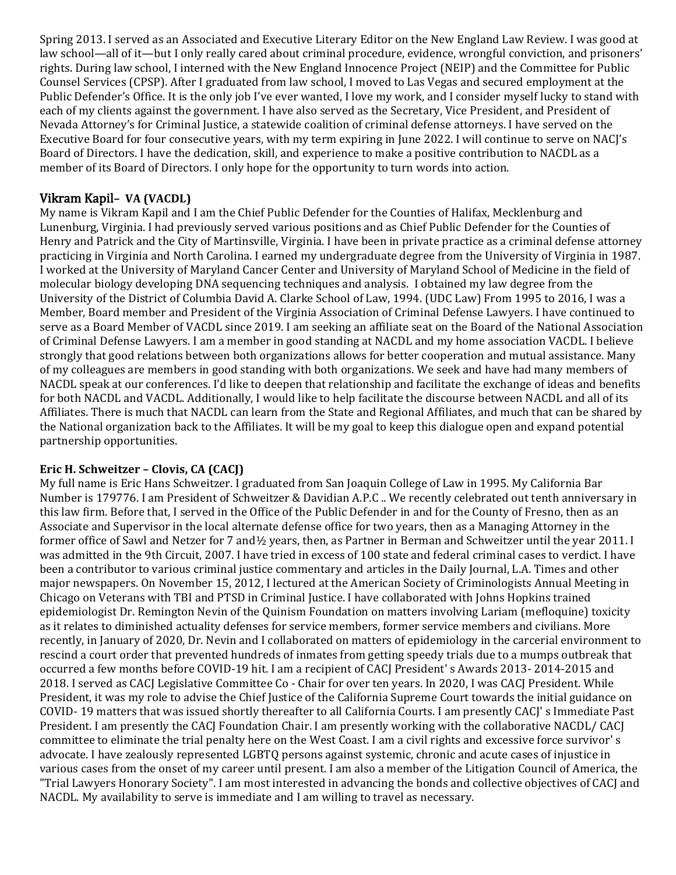Spring 2013. I served as an Associated and Executive Literary Editor on the New England Law Review. I was good at law school—all of it—but I only really cared about criminal procedure, evidence, wrongful conviction, and prisoners' rights. During law school, I interned with the New England Innocence Project (NEIP) and the Committee for Public Counsel Services (CPSP). After I graduated from law school, I moved to Las Vegas and secured employment at the Public Defender's Office. It is the only job I've ever wanted, I love my work, and I consider myself lucky to stand with each of my clients against the government. I have also served as the Secretary, Vice President, and President of Nevada Attorney's for Criminal Justice, a statewide coalition of criminal defense attorneys. I have served on the Executive Board for four consecutive years, with my term expiring in June 2022. I will continue to serve on NACJ's Board of Directors. I have the dedication, skill, and experience to make a positive contribution to NACDL as a member of its Board of Directors. I only hope for the opportunity to turn words into action.

### Vikram Kapil**– VA (VACDL)**

My name is Vikram Kapil and I am the Chief Public Defender for the Counties of Halifax, Mecklenburg and Lunenburg, Virginia. I had previously served various positions and as Chief Public Defender for the Counties of Henry and Patrick and the City of Martinsville, Virginia. I have been in private practice as a criminal defense attorney practicing in Virginia and North Carolina. I earned my undergraduate degree from the University of Virginia in 1987. I worked at the University of Maryland Cancer Center and University of Maryland School of Medicine in the field of molecular biology developing DNA sequencing techniques and analysis. I obtained my law degree from the University of the District of Columbia David A. Clarke School of Law, 1994. (UDC Law) From 1995 to 2016, I was a Member, Board member and President of the Virginia Association of Criminal Defense Lawyers. I have continued to serve as a Board Member of VACDL since 2019. I am seeking an affiliate seat on the Board of the National Association of Criminal Defense Lawyers. I am a member in good standing at NACDL and my home association VACDL. I believe strongly that good relations between both organizations allows for better cooperation and mutual assistance. Many of my colleagues are members in good standing with both organizations. We seek and have had many members of NACDL speak at our conferences. I'd like to deepen that relationship and facilitate the exchange of ideas and benefits for both NACDL and VACDL. Additionally, I would like to help facilitate the discourse between NACDL and all of its Affiliates. There is much that NACDL can learn from the State and Regional Affiliates, and much that can be shared by the National organization back to the Affiliates. It will be my goal to keep this dialogue open and expand potential partnership opportunities.

#### **Eric H. Schweitzer – Clovis, CA (CACJ)**

My full name is Eric Hans Schweitzer. I graduated from San Joaquin College of Law in 1995. My California Bar Number is 179776. I am President of Schweitzer & Davidian A.P.C .. We recently celebrated out tenth anniversary in this law firm. Before that, I served in the Office of the Public Defender in and for the County of Fresno, then as an Associate and Supervisor in the local alternate defense office for two years, then as a Managing Attorney in the former office of Sawl and Netzer for 7 and½ years, then, as Partner in Berman and Schweitzer until the year 2011. I was admitted in the 9th Circuit, 2007. I have tried in excess of 100 state and federal criminal cases to verdict. I have been a contributor to various criminal justice commentary and articles in the Daily Journal, L.A. Times and other major newspapers. On November 15, 2012, I lectured at the American Society of Criminologists Annual Meeting in Chicago on Veterans with TBI and PTSD in Criminal Justice. I have collaborated with Johns Hopkins trained epidemiologist Dr. Remington Nevin of the Quinism Foundation on matters involving Lariam (mefloquine) toxicity as it relates to diminished actuality defenses for service members, former service members and civilians. More recently, in January of 2020, Dr. Nevin and I collaborated on matters of epidemiology in the carcerial environment to rescind a court order that prevented hundreds of inmates from getting speedy trials due to a mumps outbreak that occurred a few months before COVID-19 hit. I am a recipient of CACJ President' s Awards 2013- 2014-2015 and 2018. I served as CACJ Legislative Committee Co - Chair for over ten years. In 2020, I was CACJ President. While President, it was my role to advise the Chief Justice of the California Supreme Court towards the initial guidance on COVID- 19 matters that was issued shortly thereafter to all California Courts. I am presently CACJ' s Immediate Past President. I am presently the CACJ Foundation Chair. I am presently working with the collaborative NACDL/ CACJ committee to eliminate the trial penalty here on the West Coast. I am a civil rights and excessive force survivor' s advocate. I have zealously represented LGBTQ persons against systemic, chronic and acute cases of injustice in various cases from the onset of my career until present. I am also a member of the Litigation Council of America, the "Trial Lawyers Honorary Society". I am most interested in advancing the bonds and collective objectives of CACJ and NACDL. My availability to serve is immediate and I am willing to travel as necessary.